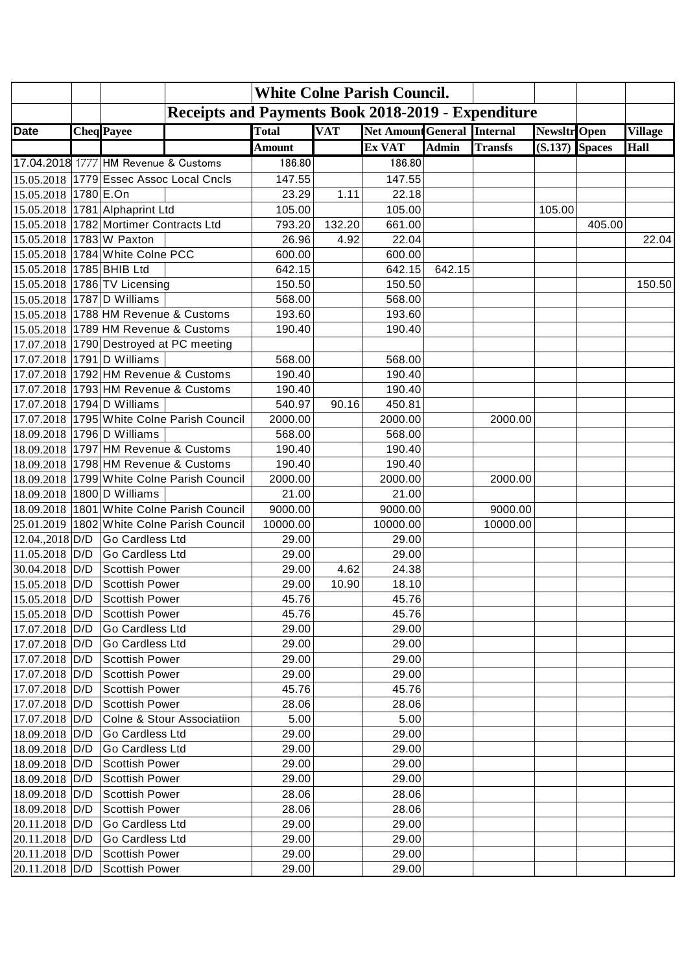|                            | <b>White Colne Parish Council.</b> |                                          |                                                           |               |            |                                    |              |                |                     |        |                |
|----------------------------|------------------------------------|------------------------------------------|-----------------------------------------------------------|---------------|------------|------------------------------------|--------------|----------------|---------------------|--------|----------------|
|                            |                                    |                                          | <b>Receipts and Payments Book 2018-2019 - Expenditure</b> |               |            |                                    |              |                |                     |        |                |
| <b>Date</b>                |                                    | <b>Cheq</b> Payee                        |                                                           | <b>Total</b>  | <b>VAT</b> | <b>Net Amount General Internal</b> |              |                | <b>Newsltr</b> Open |        | <b>Village</b> |
|                            |                                    |                                          |                                                           | <b>Amount</b> |            | Ex VAT                             | <b>Admin</b> | <b>Transfs</b> | $(S.137)$ Spaces    |        | <b>Hall</b>    |
|                            |                                    | 17.04.2018 1777 HM Revenue & Customs     |                                                           | 186.80        |            | 186.80                             |              |                |                     |        |                |
|                            |                                    |                                          | 15.05.2018 1779 Essec Assoc Local Cncls                   | 147.55        |            | 147.55                             |              |                |                     |        |                |
| 15.05.2018 1780 E.On       |                                    |                                          |                                                           | 23.29         | 1.11       | 22.18                              |              |                |                     |        |                |
|                            |                                    | 15.05.2018 1781 Alphaprint Ltd           |                                                           | 105.00        |            | 105.00                             |              |                | 105.00              |        |                |
|                            |                                    | 15.05.2018   1782 Mortimer Contracts Ltd |                                                           | 793.20        | 132.20     | 661.00                             |              |                |                     | 405.00 |                |
| 15.05.2018 1783 W Paxton   |                                    |                                          |                                                           | 26.96         | 4.92       | 22.04                              |              |                |                     |        | 22.04          |
|                            |                                    | 15.05.2018 1784 White Colne PCC          |                                                           | 600.00        |            | 600.00                             |              |                |                     |        |                |
| 15.05.2018 1785 BHIB Ltd   |                                    |                                          |                                                           | 642.15        |            | 642.15                             | 642.15       |                |                     |        |                |
|                            |                                    | 15.05.2018 1786 TV Licensing             |                                                           | 150.50        |            | 150.50                             |              |                |                     |        | 150.50         |
| 15.05.2018 1787 D Williams |                                    |                                          |                                                           | 568.00        |            | 568.00                             |              |                |                     |        |                |
|                            |                                    |                                          | 15.05.2018 1788 HM Revenue & Customs                      | 193.60        |            | 193.60                             |              |                |                     |        |                |
|                            |                                    |                                          | 15.05.2018   1789 HM Revenue & Customs                    | 190.40        |            | 190.40                             |              |                |                     |        |                |
|                            |                                    |                                          | 17.07.2018 1790 Destroyed at PC meeting                   |               |            |                                    |              |                |                     |        |                |
| 17.07.2018 1791 D Williams |                                    |                                          |                                                           | 568.00        |            | 568.00                             |              |                |                     |        |                |
|                            |                                    |                                          | 17.07.2018 1792 HM Revenue & Customs                      | 190.40        |            | 190.40                             |              |                |                     |        |                |
|                            |                                    |                                          | 17.07.2018 1793 HM Revenue & Customs                      | 190.40        |            | 190.40                             |              |                |                     |        |                |
| 17.07.2018 1794 D Williams |                                    |                                          |                                                           | 540.97        | 90.16      | 450.81                             |              |                |                     |        |                |
|                            |                                    |                                          | 17.07.2018   1795   White Colne Parish Council            | 2000.00       |            | 2000.00                            |              | 2000.00        |                     |        |                |
| 18.09.2018 1796 D Williams |                                    |                                          |                                                           | 568.00        |            | 568.00                             |              |                |                     |        |                |
|                            |                                    |                                          | 18.09.2018 1797 HM Revenue & Customs                      | 190.40        |            | 190.40                             |              |                |                     |        |                |
|                            |                                    |                                          | 18.09.2018 1798 HM Revenue & Customs                      | 190.40        |            | 190.40                             |              |                |                     |        |                |
|                            |                                    |                                          | 18.09.2018 1799 White Colne Parish Council                | 2000.00       |            | 2000.00                            |              | 2000.00        |                     |        |                |
| 18.09.2018                 |                                    | 1800 D Williams                          |                                                           | 21.00         |            | 21.00                              |              |                |                     |        |                |
|                            |                                    |                                          | 18.09.2018 1801 White Colne Parish Council                | 9000.00       |            | 9000.00                            |              | 9000.00        |                     |        |                |
|                            |                                    |                                          | 25.01.2019 1802 White Colne Parish Council                | 10000.00      |            | 10000.00                           |              | 10000.00       |                     |        |                |
| 12.04.,2018 D/D            |                                    | Go Cardless Ltd                          |                                                           | 29.00         |            | 29.00                              |              |                |                     |        |                |
| 11.05.2018 D/D             |                                    | Go Cardless Ltd                          |                                                           | 29.00         |            | 29.00                              |              |                |                     |        |                |
| 30.04.2018 D/D             |                                    | Scottish Power                           |                                                           | 29.00         | 4.62       | 24.38                              |              |                |                     |        |                |
| 15.05.2018 D/D             |                                    | Scottish Power                           |                                                           | 29.00         | 10.90      | 18.10                              |              |                |                     |        |                |
| $15.05.2018$ D/D           |                                    | Scottish Power                           |                                                           | 45.76         |            | 45.76                              |              |                |                     |        |                |
| 15.05.2018 D/D             |                                    | Scottish Power                           |                                                           | 45.76         |            | 45.76                              |              |                |                     |        |                |
| 17.07.2018 D/D             |                                    | Go Cardless Ltd                          |                                                           | 29.00         |            | 29.00                              |              |                |                     |        |                |
| 17.07.2018 D/D             |                                    | Go Cardless Ltd                          |                                                           | 29.00         |            | 29.00                              |              |                |                     |        |                |
| 17.07.2018 D/D             |                                    | Scottish Power                           |                                                           | 29.00         |            | 29.00                              |              |                |                     |        |                |
| 17.07.2018 D/D             |                                    | Scottish Power                           |                                                           | 29.00         |            | 29.00                              |              |                |                     |        |                |
| 17.07.2018 D/D             |                                    | Scottish Power                           |                                                           | 45.76         |            | 45.76                              |              |                |                     |        |                |
| 17.07.2018 D/D             |                                    | Scottish Power                           |                                                           | 28.06         |            | 28.06                              |              |                |                     |        |                |
| 17.07.2018 D/D             |                                    |                                          | Colne & Stour Associatiion                                | 5.00          |            | 5.00                               |              |                |                     |        |                |
| 18.09.2018 D/D             |                                    | Go Cardless Ltd                          |                                                           | 29.00         |            | 29.00                              |              |                |                     |        |                |
| 18.09.2018 D/D             |                                    | Go Cardless Ltd                          |                                                           | 29.00         |            | 29.00                              |              |                |                     |        |                |
| 18.09.2018 D/D             |                                    | Scottish Power                           |                                                           | 29.00         |            | 29.00                              |              |                |                     |        |                |
| 18.09.2018 D/D             |                                    | Scottish Power                           |                                                           | 29.00         |            | 29.00                              |              |                |                     |        |                |
| 18.09.2018 D/D             |                                    | Scottish Power                           |                                                           | 28.06         |            | 28.06                              |              |                |                     |        |                |
| 18.09.2018 D/D             |                                    | Scottish Power                           |                                                           | 28.06         |            | 28.06                              |              |                |                     |        |                |
| 20.11.2018   D/D           |                                    | Go Cardless Ltd                          |                                                           | 29.00         |            | 29.00                              |              |                |                     |        |                |
| 20.11.2018 D/D             |                                    | Go Cardless Ltd                          |                                                           | 29.00         |            | 29.00                              |              |                |                     |        |                |
| 20.11.2018 D/D             |                                    | Scottish Power                           |                                                           | 29.00         |            | 29.00                              |              |                |                     |        |                |
| 20.11.2018 D/D             |                                    | Scottish Power                           |                                                           | 29.00         |            | 29.00                              |              |                |                     |        |                |
|                            |                                    |                                          |                                                           |               |            |                                    |              |                |                     |        |                |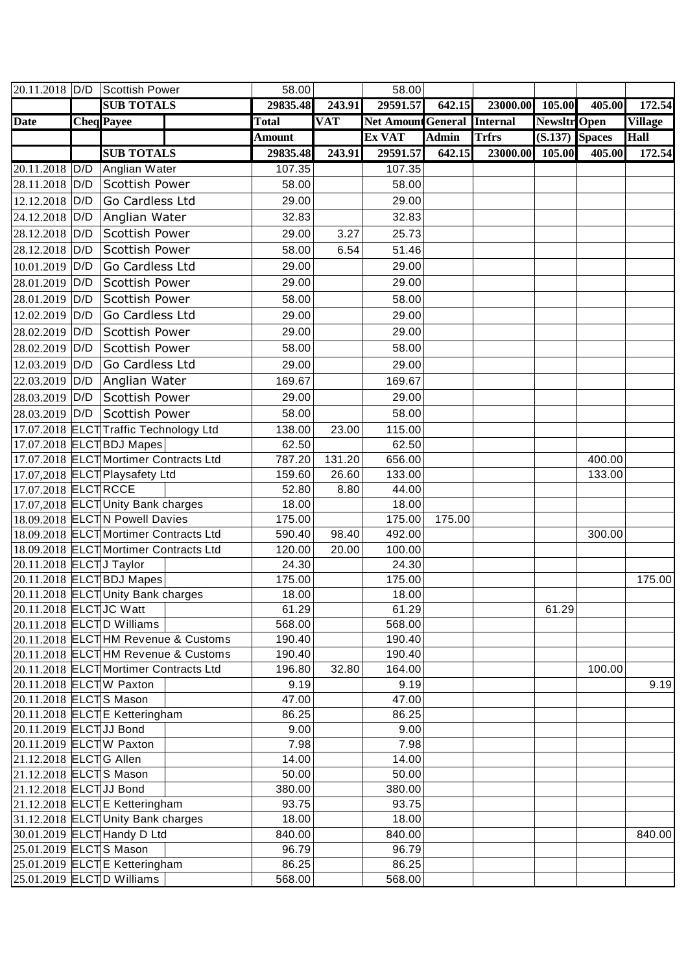|                         |     | 20.11.2018 $D/D$ Scottish Power        | 58.00           |            | 58.00                              |              |              |                     |        |                |
|-------------------------|-----|----------------------------------------|-----------------|------------|------------------------------------|--------------|--------------|---------------------|--------|----------------|
|                         |     | <b>SUB TOTALS</b>                      | 29835.48        | 243.91     | 29591.57                           | 642.15       | 23000.00     | 105.00              | 405.00 | 172.54         |
| <b>Date</b>             |     | <b>Cheq</b> Payee                      | <b>Total</b>    | <b>VAT</b> | <b>Net Amount General Internal</b> |              |              | <b>Newsltr</b> Open |        | <b>Village</b> |
|                         |     |                                        | <b>Amount</b>   |            | Ex VAT                             | <b>Admin</b> | <b>Trfrs</b> | $(S.137)$ Spaces    |        | Hall           |
|                         |     | <b>SUB TOTALS</b>                      | 29835.48        | 243.91     | 29591.57                           | 642.15       | 23000.00     | 105.00              | 405.00 | 172.54         |
| 20.11.2018 D/D          |     | Anglian Water                          | 107.35          |            | 107.35                             |              |              |                     |        |                |
| 28.11.2018              | D/D | Scottish Power                         | 58.00           |            | 58.00                              |              |              |                     |        |                |
| 12.12.2018 D/D          |     | <b>Go Cardless Ltd</b>                 | 29.00           |            | 29.00                              |              |              |                     |        |                |
| 24.12.2018 D/D          |     | Anglian Water                          | 32.83           |            | 32.83                              |              |              |                     |        |                |
| 28.12.2018              | D/D | Scottish Power                         | 29.00           | 3.27       | 25.73                              |              |              |                     |        |                |
| 28.12.2018              | D/D | <b>Scottish Power</b>                  | 58.00           | 6.54       | 51.46                              |              |              |                     |        |                |
| 10.01.2019              | D/D | Go Cardless Ltd                        | 29.00           |            | 29.00                              |              |              |                     |        |                |
| 28.01.2019 D/D          |     | Scottish Power                         | 29.00           |            | 29.00                              |              |              |                     |        |                |
| 28.01.2019              | D/D | Scottish Power                         | 58.00           |            | 58.00                              |              |              |                     |        |                |
| 12.02.2019              | D/D | Go Cardless Ltd                        | 29.00           |            | 29.00                              |              |              |                     |        |                |
| 28.02.2019              | D/D | Scottish Power                         | 29.00           |            | 29.00                              |              |              |                     |        |                |
|                         |     | Scottish Power                         |                 |            |                                    |              |              |                     |        |                |
| 28.02.2019 D/D          |     |                                        | 58.00           |            | 58.00                              |              |              |                     |        |                |
| 12.03.2019 D/D          |     | Go Cardless Ltd                        | 29.00           |            | 29.00                              |              |              |                     |        |                |
| 22.03.2019 D/D          |     | Anglian Water                          | 169.67          |            | 169.67                             |              |              |                     |        |                |
| 28.03.2019 D/D          |     | Scottish Power                         | 29.00           |            | 29.00                              |              |              |                     |        |                |
| 28.03.2019 D/D          |     | Scottish Power                         | 58.00           |            | 58.00                              |              |              |                     |        |                |
|                         |     | 17.07.2018 ELCT Traffic Technology Ltd | 138.00          | 23.00      | 115.00                             |              |              |                     |        |                |
|                         |     | 17.07.2018 ELCTBDJ Mapes               | 62.50           |            | 62.50                              |              |              |                     |        |                |
|                         |     | 17.07.2018 ELCT Mortimer Contracts Ltd | 787.20          | 131.20     | 656.00                             |              |              |                     | 400.00 |                |
|                         |     | 17.07,2018 ELCT Playsafety Ltd         | 159.60          | 26.60      | 133.00                             |              |              |                     | 133.00 |                |
| 17.07.2018 ELCTRCCE     |     |                                        | 52.80           | 8.80       | 44.00                              |              |              |                     |        |                |
|                         |     | 17.07,2018 ELCTUnity Bank charges      | 18.00           |            | 18.00                              |              |              |                     |        |                |
|                         |     | 18.09.2018 ELCTN Powell Davies         | 175.00          |            | 175.00                             | 175.00       |              |                     |        |                |
|                         |     | 18.09.2018 ELCT Mortimer Contracts Ltd | 590.40          | 98.40      | 492.00                             |              |              |                     | 300.00 |                |
|                         |     | 18.09.2018 ELCTMortimer Contracts Ltd  | 120.00<br>24.30 | 20.00      | 100.00<br>24.30                    |              |              |                     |        |                |
| 20.11.2018 ELCTJ Taylor |     | 20.11.2018 ELCTBDJ Mapes               | 175.00          |            | 175.00                             |              |              |                     |        | 175.00         |
|                         |     | 20.11.2018 ELCTUnity Bank charges      | 18.00           |            | 18.00                              |              |              |                     |        |                |
| 20.11.2018 ELCTJC Watt  |     |                                        | 61.29           |            | 61.29                              |              |              | 61.29               |        |                |
|                         |     | $20.11.2018$ ELCTD Williams            | 568.00          |            | 568.00                             |              |              |                     |        |                |
|                         |     | 20.11.2018 ELCTHM Revenue & Customs    | 190.40          |            | 190.40                             |              |              |                     |        |                |
|                         |     | 20.11.2018 ELCT HM Revenue & Customs   | 190.40          |            | 190.40                             |              |              |                     |        |                |
|                         |     | 20.11.2018 ELCT Mortimer Contracts Ltd | 196.80          | 32.80      | 164.00                             |              |              |                     | 100.00 |                |
| 20.11.2018 ELCTW Paxton |     |                                        | 9.19            |            | 9.19                               |              |              |                     |        | 9.19           |
| 20.11.2018 ELCTS Mason  |     |                                        | 47.00           |            | 47.00                              |              |              |                     |        |                |
|                         |     | 20.11.2018 ELCTE Ketteringham          | 86.25           |            | 86.25                              |              |              |                     |        |                |
| 20.11.2019 ELCT JJ Bond |     |                                        | 9.00            |            | 9.00                               |              |              |                     |        |                |
|                         |     | 20.11.2019 ELCTW Paxton                | 7.98            |            | 7.98                               |              |              |                     |        |                |
| 21.12.2018 ELCTG Allen  |     |                                        | 14.00           |            | 14.00                              |              |              |                     |        |                |
| 21.12.2018 ELCTS Mason  |     |                                        | 50.00           |            | 50.00                              |              |              |                     |        |                |
| 21.12.2018 ELCT JJ Bond |     |                                        | 380.00          |            | 380.00                             |              |              |                     |        |                |
|                         |     | 21.12.2018 ELCTE Ketteringham          | 93.75           |            | 93.75                              |              |              |                     |        |                |
|                         |     | 31.12.2018 ELCTUnity Bank charges      | 18.00           |            | 18.00                              |              |              |                     |        |                |
|                         |     | 30.01.2019 ELCT Handy D Ltd            | 840.00          |            | 840.00                             |              |              |                     |        | 840.00         |
| 25.01.2019 ELCTS Mason  |     |                                        | 96.79           |            | 96.79                              |              |              |                     |        |                |
|                         |     | 25.01.2019 ELCTE Ketteringham          | 86.25           |            | 86.25                              |              |              |                     |        |                |
|                         |     | 25.01.2019 ELCTD Williams              | 568.00          |            | 568.00                             |              |              |                     |        |                |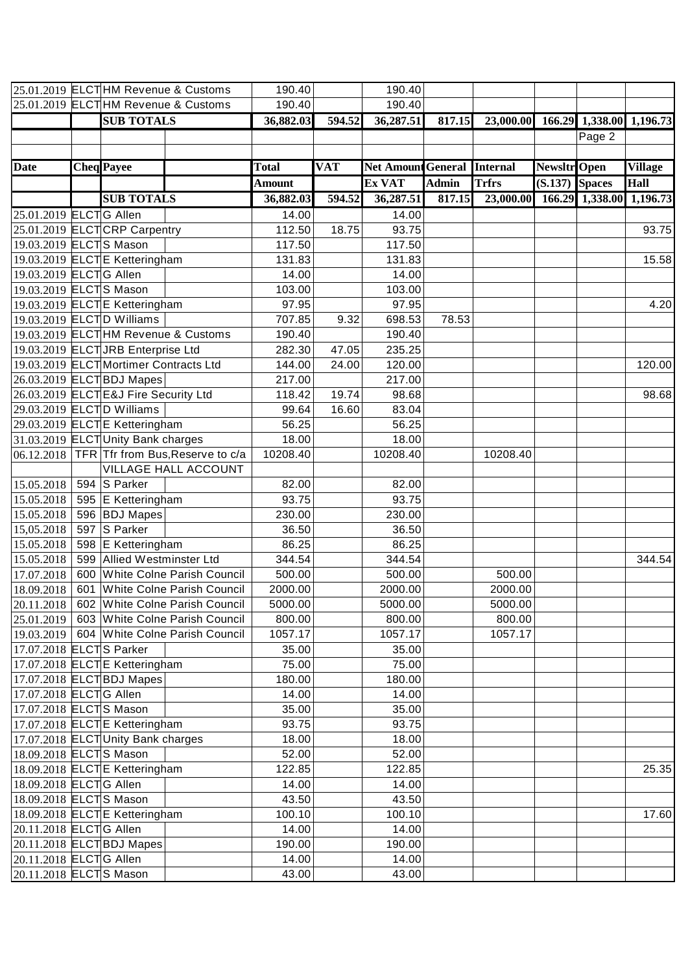|             | 25.01.2019 ELCT HM Revenue & Customs          | 190.40        |            | 190.40                    |              |                                    |              |                 |                |
|-------------|-----------------------------------------------|---------------|------------|---------------------------|--------------|------------------------------------|--------------|-----------------|----------------|
|             | 25.01.2019 ELCT HM Revenue & Customs          | 190.40        |            | 190.40                    |              |                                    |              |                 |                |
|             | <b>SUB TOTALS</b>                             | 36,882.03     | 594.52     | 36,287.51                 | 817.15       | 23,000.00 166.29 1,338.00 1,196.73 |              |                 |                |
|             |                                               |               |            |                           |              |                                    |              | Page 2          |                |
|             |                                               |               |            |                           |              |                                    |              |                 |                |
| <b>Date</b> | <b>Cheq</b> Payee                             | <b>Total</b>  | <b>VAT</b> | <b>Net Amount General</b> |              | <b>Internal</b>                    | Newsltr Open |                 | <b>Village</b> |
|             |                                               | <b>Amount</b> |            | Ex VAT                    | <b>Admin</b> | <b>Trfrs</b>                       | (S.137)      | <b>Spaces</b>   | <b>Hall</b>    |
|             | <b>SUB TOTALS</b>                             | 36,882.03     | 594.52     | 36,287.51                 | 817.15       | 23,000.00                          |              | 166.29 1,338.00 | 1,196.73       |
|             | 25.01.2019 ELCTG Allen                        | 14.00         |            | 14.00                     |              |                                    |              |                 |                |
|             | 25.01.2019 ELCTCRP Carpentry                  | 112.50        | 18.75      | 93.75                     |              |                                    |              |                 | 93.75          |
|             | 19.03.2019 ELCTS Mason                        | 117.50        |            | 117.50                    |              |                                    |              |                 |                |
|             | 19.03.2019 ELCTE Ketteringham                 | 131.83        |            | 131.83                    |              |                                    |              |                 | 15.58          |
|             | 19.03.2019 ELCTG Allen                        | 14.00         |            | 14.00                     |              |                                    |              |                 |                |
|             | 19.03.2019 ELCTS Mason                        | 103.00        |            | 103.00                    |              |                                    |              |                 |                |
|             | 19.03.2019 ELCTE Ketteringham                 | 97.95         |            | 97.95                     |              |                                    |              |                 | 4.20           |
|             | 19.03.2019 ELCTD Williams                     | 707.85        | 9.32       | 698.53                    | 78.53        |                                    |              |                 |                |
|             | 19.03.2019 ELCT HM Revenue & Customs          | 190.40        |            | 190.40                    |              |                                    |              |                 |                |
|             | 19.03.2019 ELCT JRB Enterprise Ltd            | 282.30        | 47.05      | 235.25                    |              |                                    |              |                 |                |
|             | 19.03.2019 ELCTMortimer Contracts Ltd         | 144.00        | 24.00      | 120.00                    |              |                                    |              |                 | 120.00         |
|             | 26.03.2019 ELCTBDJ Mapes                      | 217.00        |            | 217.00                    |              |                                    |              |                 |                |
|             | 26.03.2019 ELCTE&J Fire Security Ltd          | 118.42        | 19.74      | 98.68                     |              |                                    |              |                 | 98.68          |
|             | 29.03.2019 ELCTD Williams                     | 99.64         | 16.60      | 83.04                     |              |                                    |              |                 |                |
|             | 29.03.2019 ELCTE Ketteringham                 | 56.25         |            | 56.25                     |              |                                    |              |                 |                |
|             | 31.03.2019 ELCTUnity Bank charges             | 18.00         |            | 18.00                     |              |                                    |              |                 |                |
| 06.12.2018  | TFR Tfr from Bus, Reserve to c/a              | 10208.40      |            | 10208.40                  |              | 10208.40                           |              |                 |                |
|             | <b>VILLAGE HALL ACCOUNT</b>                   |               |            |                           |              |                                    |              |                 |                |
| 15.05.2018  | 594 S Parker                                  | 82.00         |            | 82.00                     |              |                                    |              |                 |                |
| 15.05.2018  | 595 E Ketteringham                            | 93.75         |            | 93.75                     |              |                                    |              |                 |                |
| 15.05.2018  | 596 BDJ Mapes                                 | 230.00        |            | 230.00                    |              |                                    |              |                 |                |
| 15,05.2018  | 597 S Parker                                  | 36.50         |            | 36.50                     |              |                                    |              |                 |                |
| 15.05.2018  | 598 E Ketteringham                            | 86.25         |            | 86.25                     |              |                                    |              |                 |                |
| 15.05.2018  | 599 Allied Westminster Ltd                    | 344.54        |            | 344.54                    |              |                                    |              |                 | 344.54         |
| 17.07.2018  | 600 White Colne Parish Council                | 500.00        |            | 500.00                    |              | 500.00                             |              |                 |                |
| 18.09.2018  | 601 White Colne Parish Council                | 2000.00       |            | 2000.00                   |              | 2000.00                            |              |                 |                |
| 20.11.2018  | 602 White Colne Parish Council                | 5000.00       |            | 5000.00                   |              | 5000.00                            |              |                 |                |
| 25.01.2019  | 603 White Colne Parish Council                | 800.00        |            | 800.00                    |              | 800.00                             |              |                 |                |
|             | 19.03.2019   604   White Colne Parish Council | 1057.17       |            | 1057.17                   |              | 1057.17                            |              |                 |                |
|             | 17.07.2018 ELCTS Parker                       | 35.00         |            | 35.00                     |              |                                    |              |                 |                |
|             | 17.07.2018 ELCTE Ketteringham                 | 75.00         |            | 75.00                     |              |                                    |              |                 |                |
|             | 17.07.2018 ELCTBDJ Mapes                      | 180.00        |            | 180.00                    |              |                                    |              |                 |                |
|             | 17.07.2018 ELCTG Allen                        | 14.00         |            | 14.00                     |              |                                    |              |                 |                |
|             | 17.07.2018 ELCTS Mason                        | 35.00         |            | 35.00                     |              |                                    |              |                 |                |
|             | 17.07.2018 ELCTE Ketteringham                 | 93.75         |            | 93.75                     |              |                                    |              |                 |                |
|             | 17.07.2018 ELCTUnity Bank charges             | 18.00         |            | 18.00                     |              |                                    |              |                 |                |
|             | 18.09.2018 ELCTS Mason                        | 52.00         |            | 52.00                     |              |                                    |              |                 |                |
|             | 18.09.2018 ELCTE Ketteringham                 | 122.85        |            | 122.85                    |              |                                    |              |                 | 25.35          |
|             | 18.09.2018 ELCTG Allen                        | 14.00         |            | 14.00                     |              |                                    |              |                 |                |
|             | 18.09.2018 ELCTS Mason                        | 43.50         |            | 43.50                     |              |                                    |              |                 |                |
|             | 18.09.2018 ELCTE Ketteringham                 | 100.10        |            | 100.10                    |              |                                    |              |                 | 17.60          |
|             | 20.11.2018 ELCTG Allen                        | 14.00         |            | 14.00                     |              |                                    |              |                 |                |
|             | 20.11.2018 ELCTBDJ Mapes                      | 190.00        |            | 190.00                    |              |                                    |              |                 |                |
|             | 20.11.2018 ELCTG Allen                        | 14.00         |            | 14.00                     |              |                                    |              |                 |                |
|             | 20.11.2018 ELCTS Mason                        | 43.00         |            | 43.00                     |              |                                    |              |                 |                |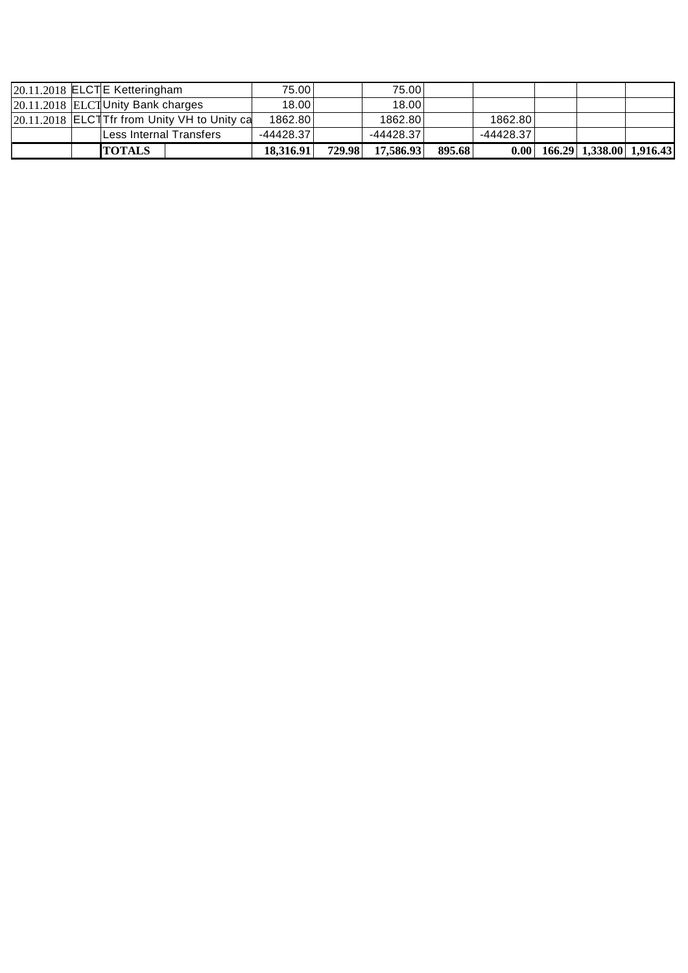|  | <b>TOTALS</b>                                | 18,316.91   | 729.98 | 17,586.93   | 895.68 |           | $0.00$ 166.29 1,338.00 1,916.43 |  |
|--|----------------------------------------------|-------------|--------|-------------|--------|-----------|---------------------------------|--|
|  | Less Internal Transfers                      | $-44428.37$ |        | $-44428.37$ |        | -44428.37 |                                 |  |
|  | 20.11.2018 ELCTTfr from Unity VH to Unity ca | 1862.80     |        | 1862.80     |        | 1862.80   |                                 |  |
|  | 20.11.2018 ELCTUnity Bank charges            | 18.00       |        | 18.00       |        |           |                                 |  |
|  | 20.11.2018 ELCTE Ketteringham                | 75.00       |        | 75.00       |        |           |                                 |  |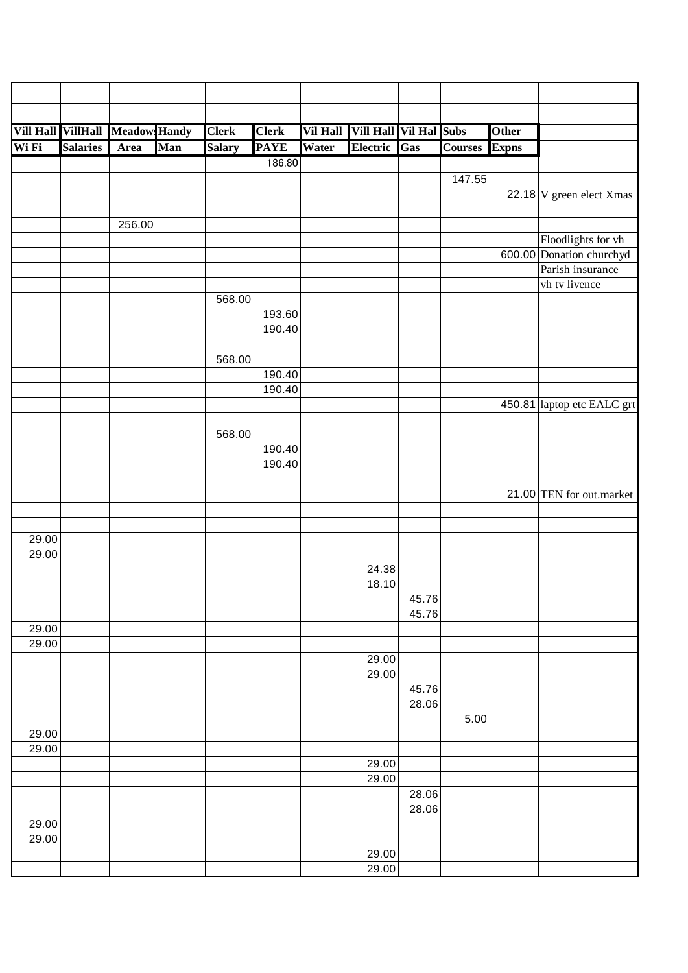|                    | Vill Hall VillHall Meadow: Handy |        |     | <b>Clerk</b>  | <b>Clerk</b> |       | Vil Hall Vill Hall Vil Hal Subs |                |                | Other        |                                   |
|--------------------|----------------------------------|--------|-----|---------------|--------------|-------|---------------------------------|----------------|----------------|--------------|-----------------------------------|
| Wi Fi              | <b>Salaries</b>                  | Area   | Man | <b>Salary</b> | <b>PAYE</b>  | Water | Electric Gas                    |                | <b>Courses</b> | <b>Expns</b> |                                   |
|                    |                                  |        |     |               | 186.80       |       |                                 |                |                |              |                                   |
|                    |                                  |        |     |               |              |       |                                 |                | 147.55         |              |                                   |
|                    |                                  |        |     |               |              |       |                                 |                |                |              | 22.18 $V$ green elect Xmas        |
|                    |                                  |        |     |               |              |       |                                 |                |                |              |                                   |
|                    |                                  | 256.00 |     |               |              |       |                                 |                |                |              |                                   |
|                    |                                  |        |     |               |              |       |                                 |                |                |              | Floodlights for vh                |
|                    |                                  |        |     |               |              |       |                                 |                |                |              | 600.00 Donation churchyd          |
|                    |                                  |        |     |               |              |       |                                 |                |                |              | Parish insurance<br>vh tv livence |
|                    |                                  |        |     | 568.00        |              |       |                                 |                |                |              |                                   |
|                    |                                  |        |     |               | 193.60       |       |                                 |                |                |              |                                   |
|                    |                                  |        |     |               | 190.40       |       |                                 |                |                |              |                                   |
|                    |                                  |        |     |               |              |       |                                 |                |                |              |                                   |
|                    |                                  |        |     | 568.00        |              |       |                                 |                |                |              |                                   |
|                    |                                  |        |     |               | 190.40       |       |                                 |                |                |              |                                   |
|                    |                                  |        |     |               | 190.40       |       |                                 |                |                |              |                                   |
|                    |                                  |        |     |               |              |       |                                 |                |                |              | 450.81 laptop etc EALC grt        |
|                    |                                  |        |     |               |              |       |                                 |                |                |              |                                   |
|                    |                                  |        |     | 568.00        |              |       |                                 |                |                |              |                                   |
|                    |                                  |        |     |               | 190.40       |       |                                 |                |                |              |                                   |
|                    |                                  |        |     |               | 190.40       |       |                                 |                |                |              |                                   |
|                    |                                  |        |     |               |              |       |                                 |                |                |              |                                   |
|                    |                                  |        |     |               |              |       |                                 |                |                |              | 21.00 TEN for out.market          |
|                    |                                  |        |     |               |              |       |                                 |                |                |              |                                   |
| $\overline{29.00}$ |                                  |        |     |               |              |       |                                 |                |                |              |                                   |
| 29.00              |                                  |        |     |               |              |       |                                 |                |                |              |                                   |
|                    |                                  |        |     |               |              |       | 24.38                           |                |                |              |                                   |
|                    |                                  |        |     |               |              |       | 18.10                           |                |                |              |                                   |
|                    |                                  |        |     |               |              |       |                                 | 45.76          |                |              |                                   |
|                    |                                  |        |     |               |              |       |                                 | 45.76          |                |              |                                   |
| 29.00              |                                  |        |     |               |              |       |                                 |                |                |              |                                   |
| 29.00              |                                  |        |     |               |              |       |                                 |                |                |              |                                   |
|                    |                                  |        |     |               |              |       | 29.00                           |                |                |              |                                   |
|                    |                                  |        |     |               |              |       | 29.00                           |                |                |              |                                   |
|                    |                                  |        |     |               |              |       |                                 | 45.76<br>28.06 |                |              |                                   |
|                    |                                  |        |     |               |              |       |                                 |                | 5.00           |              |                                   |
| 29.00              |                                  |        |     |               |              |       |                                 |                |                |              |                                   |
| 29.00              |                                  |        |     |               |              |       |                                 |                |                |              |                                   |
|                    |                                  |        |     |               |              |       | 29.00                           |                |                |              |                                   |
|                    |                                  |        |     |               |              |       | 29.00                           |                |                |              |                                   |
|                    |                                  |        |     |               |              |       |                                 | 28.06          |                |              |                                   |
|                    |                                  |        |     |               |              |       |                                 | 28.06          |                |              |                                   |
| 29.00              |                                  |        |     |               |              |       |                                 |                |                |              |                                   |
| 29.00              |                                  |        |     |               |              |       |                                 |                |                |              |                                   |
|                    |                                  |        |     |               |              |       | 29.00                           |                |                |              |                                   |
|                    |                                  |        |     |               |              |       | 29.00                           |                |                |              |                                   |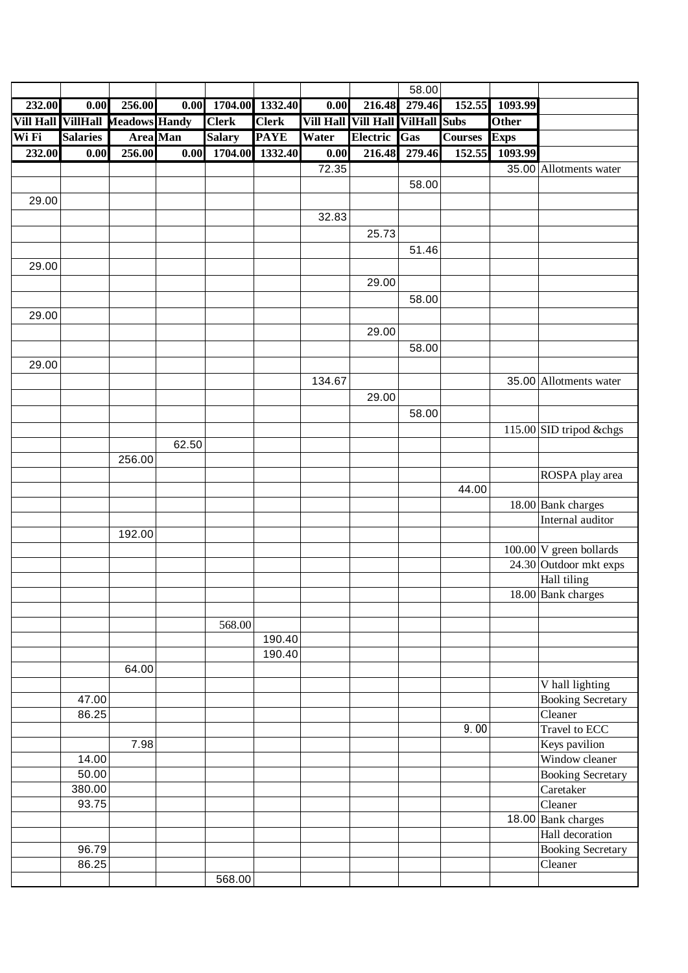|        |                                  |                 |                   |               |              |                   |                  | 58.00               |                |              |                                       |
|--------|----------------------------------|-----------------|-------------------|---------------|--------------|-------------------|------------------|---------------------|----------------|--------------|---------------------------------------|
| 232.00 | 0.00                             | 256.00          | $\overline{0.00}$ | 1704.00       | 1332.40      | $\overline{0.00}$ | 216.48           | 279.46              | 152.55         | 1093.99      |                                       |
|        | Vill Hall VillHall Meadows Handy |                 |                   | <b>Clerk</b>  | <b>Clerk</b> | <b>Vill Hall</b>  | <b>Vill Hall</b> | <b>VilHall Subs</b> |                | <b>Other</b> |                                       |
| Wi Fi  | <b>Salaries</b>                  | <b>Area</b> Man |                   | <b>Salary</b> | <b>PAYE</b>  | Water             | Electric         | Gas                 | <b>Courses</b> | <b>Exps</b>  |                                       |
| 232.00 | $\overline{0.00}$                | 256.00          | $\overline{0.00}$ | 1704.00       | 1332.40      | $\overline{0.00}$ | 216.48           | 279.46              | 152.55         | 1093.99      |                                       |
|        |                                  |                 |                   |               |              | 72.35             |                  |                     |                |              | 35.00 Allotments water                |
|        |                                  |                 |                   |               |              |                   |                  | 58.00               |                |              |                                       |
| 29.00  |                                  |                 |                   |               |              |                   |                  |                     |                |              |                                       |
|        |                                  |                 |                   |               |              | 32.83             |                  |                     |                |              |                                       |
|        |                                  |                 |                   |               |              |                   | 25.73            |                     |                |              |                                       |
|        |                                  |                 |                   |               |              |                   |                  | 51.46               |                |              |                                       |
| 29.00  |                                  |                 |                   |               |              |                   |                  |                     |                |              |                                       |
|        |                                  |                 |                   |               |              |                   | 29.00            |                     |                |              |                                       |
|        |                                  |                 |                   |               |              |                   |                  | 58.00               |                |              |                                       |
| 29.00  |                                  |                 |                   |               |              |                   |                  |                     |                |              |                                       |
|        |                                  |                 |                   |               |              |                   | 29.00            |                     |                |              |                                       |
|        |                                  |                 |                   |               |              |                   |                  | 58.00               |                |              |                                       |
| 29.00  |                                  |                 |                   |               |              |                   |                  |                     |                |              |                                       |
|        |                                  |                 |                   |               |              | 134.67            |                  |                     |                |              | 35.00 Allotments water                |
|        |                                  |                 |                   |               |              |                   | 29.00            |                     |                |              |                                       |
|        |                                  |                 |                   |               |              |                   |                  | 58.00               |                |              |                                       |
|        |                                  |                 |                   |               |              |                   |                  |                     |                |              | 115.00 SID tripod &chgs               |
|        |                                  |                 | 62.50             |               |              |                   |                  |                     |                |              |                                       |
|        |                                  | 256.00          |                   |               |              |                   |                  |                     |                |              |                                       |
|        |                                  |                 |                   |               |              |                   |                  |                     |                |              | ROSPA play area                       |
|        |                                  |                 |                   |               |              |                   |                  |                     | 44.00          |              |                                       |
|        |                                  |                 |                   |               |              |                   |                  |                     |                |              | 18.00 Bank charges                    |
|        |                                  |                 |                   |               |              |                   |                  |                     |                |              | Internal auditor                      |
|        |                                  | 192.00          |                   |               |              |                   |                  |                     |                |              |                                       |
|        |                                  |                 |                   |               |              |                   |                  |                     |                |              | $100.00$ V green bollards             |
|        |                                  |                 |                   |               |              |                   |                  |                     |                |              | 24.30 Outdoor mkt exps                |
|        |                                  |                 |                   |               |              |                   |                  |                     |                |              | Hall tiling<br>$18.00$ Bank charges   |
|        |                                  |                 |                   |               |              |                   |                  |                     |                |              |                                       |
|        |                                  |                 |                   | 568.00        |              |                   |                  |                     |                |              |                                       |
|        |                                  |                 |                   |               | 190.40       |                   |                  |                     |                |              |                                       |
|        |                                  |                 |                   |               | 190.40       |                   |                  |                     |                |              |                                       |
|        |                                  | 64.00           |                   |               |              |                   |                  |                     |                |              |                                       |
|        |                                  |                 |                   |               |              |                   |                  |                     |                |              | V hall lighting                       |
|        | 47.00                            |                 |                   |               |              |                   |                  |                     |                |              | <b>Booking Secretary</b>              |
|        | 86.25                            |                 |                   |               |              |                   |                  |                     |                |              | Cleaner                               |
|        |                                  |                 |                   |               |              |                   |                  |                     | 9.00           |              | Travel to ECC                         |
|        |                                  | 7.98            |                   |               |              |                   |                  |                     |                |              | Keys pavilion                         |
|        | 14.00                            |                 |                   |               |              |                   |                  |                     |                |              | Window cleaner                        |
|        | 50.00<br>380.00                  |                 |                   |               |              |                   |                  |                     |                |              | <b>Booking Secretary</b><br>Caretaker |
|        | 93.75                            |                 |                   |               |              |                   |                  |                     |                |              | Cleaner                               |
|        |                                  |                 |                   |               |              |                   |                  |                     |                |              | 18.00 Bank charges                    |
|        |                                  |                 |                   |               |              |                   |                  |                     |                |              | Hall decoration                       |
|        | 96.79                            |                 |                   |               |              |                   |                  |                     |                |              | <b>Booking Secretary</b>              |
|        | 86.25                            |                 |                   |               |              |                   |                  |                     |                |              | Cleaner                               |
|        |                                  |                 |                   | 568.00        |              |                   |                  |                     |                |              |                                       |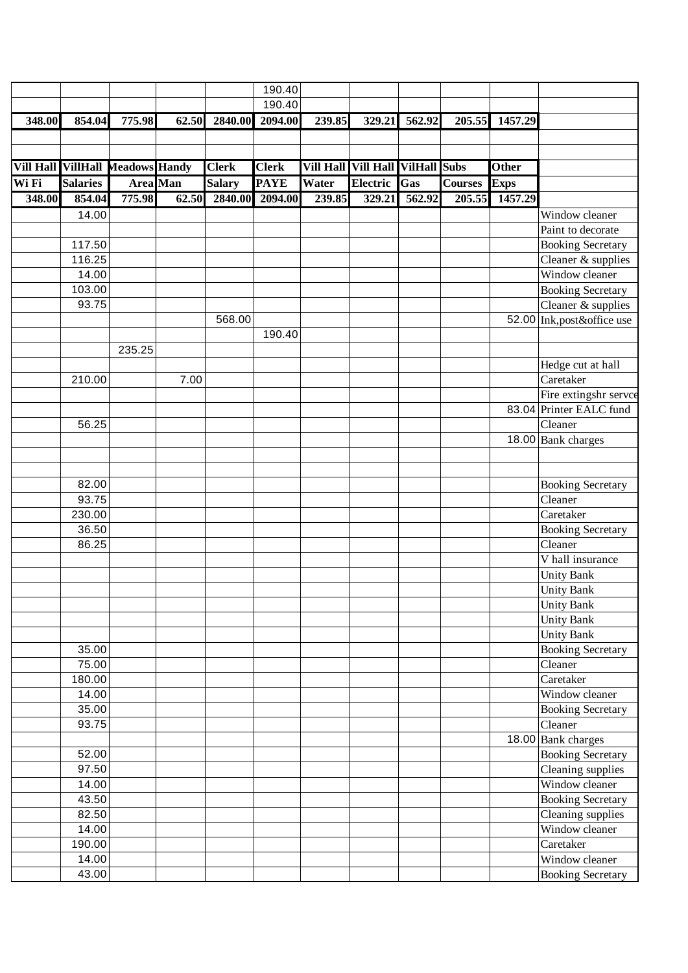|                  |                               |                 |       |               | 190.40          |                                  |                 |        |                |              |                            |
|------------------|-------------------------------|-----------------|-------|---------------|-----------------|----------------------------------|-----------------|--------|----------------|--------------|----------------------------|
|                  |                               |                 |       |               | 190.40          |                                  |                 |        |                |              |                            |
| 348.00           | 854.04                        | 775.98          | 62.50 | 2840.00       | 2094.00         | 239.85                           | 329.21          | 562.92 | 205.55         | 1457.29      |                            |
|                  |                               |                 |       |               |                 |                                  |                 |        |                |              |                            |
|                  |                               |                 |       |               |                 |                                  |                 |        |                |              |                            |
| <b>Vill Hall</b> | <b>VillHall Meadows Handy</b> |                 |       | <b>Clerk</b>  | <b>Clerk</b>    | Vill Hall Vill Hall VilHall Subs |                 |        |                | <b>Other</b> |                            |
|                  |                               |                 |       |               |                 |                                  |                 |        |                |              |                            |
| Wi Fi            | <b>Salaries</b>               | <b>Area</b> Man |       | <b>Salary</b> | <b>PAYE</b>     | Water                            | <b>Electric</b> | Gas    | <b>Courses</b> | Exps         |                            |
| 348.00           | 854.04                        | 775.98          | 62.50 |               | 2840.00 2094.00 | 239.85                           | 329.21          | 562.92 | 205.55         | 1457.29      |                            |
|                  | 14.00                         |                 |       |               |                 |                                  |                 |        |                |              | Window cleaner             |
|                  |                               |                 |       |               |                 |                                  |                 |        |                |              | Paint to decorate          |
|                  | 117.50                        |                 |       |               |                 |                                  |                 |        |                |              | <b>Booking Secretary</b>   |
|                  | 116.25                        |                 |       |               |                 |                                  |                 |        |                |              | Cleaner & supplies         |
|                  | 14.00                         |                 |       |               |                 |                                  |                 |        |                |              | Window cleaner             |
|                  | 103.00                        |                 |       |               |                 |                                  |                 |        |                |              | <b>Booking Secretary</b>   |
|                  | 93.75                         |                 |       |               |                 |                                  |                 |        |                |              | Cleaner & supplies         |
|                  |                               |                 |       | 568.00        |                 |                                  |                 |        |                |              | 52.00 Ink, post&office use |
|                  |                               |                 |       |               | 190.40          |                                  |                 |        |                |              |                            |
|                  |                               | 235.25          |       |               |                 |                                  |                 |        |                |              |                            |
|                  |                               |                 |       |               |                 |                                  |                 |        |                |              | Hedge cut at hall          |
|                  | 210.00                        |                 | 7.00  |               |                 |                                  |                 |        |                |              | Caretaker                  |
|                  |                               |                 |       |               |                 |                                  |                 |        |                |              | Fire extingshr servce      |
|                  |                               |                 |       |               |                 |                                  |                 |        |                |              | 83.04 Printer EALC fund    |
|                  | 56.25                         |                 |       |               |                 |                                  |                 |        |                |              | Cleaner                    |
|                  |                               |                 |       |               |                 |                                  |                 |        |                |              | 18.00 Bank charges         |
|                  |                               |                 |       |               |                 |                                  |                 |        |                |              |                            |
|                  |                               |                 |       |               |                 |                                  |                 |        |                |              |                            |
|                  | 82.00                         |                 |       |               |                 |                                  |                 |        |                |              | <b>Booking Secretary</b>   |
|                  | 93.75                         |                 |       |               |                 |                                  |                 |        |                |              | Cleaner                    |
|                  | 230.00                        |                 |       |               |                 |                                  |                 |        |                |              | Caretaker                  |
|                  | 36.50                         |                 |       |               |                 |                                  |                 |        |                |              | <b>Booking Secretary</b>   |
|                  | 86.25                         |                 |       |               |                 |                                  |                 |        |                |              | Cleaner                    |
|                  |                               |                 |       |               |                 |                                  |                 |        |                |              | V hall insurance           |
|                  |                               |                 |       |               |                 |                                  |                 |        |                |              | <b>Unity Bank</b>          |
|                  |                               |                 |       |               |                 |                                  |                 |        |                |              | <b>Unity Bank</b>          |
|                  |                               |                 |       |               |                 |                                  |                 |        |                |              | <b>Unity Bank</b>          |
|                  |                               |                 |       |               |                 |                                  |                 |        |                |              | <b>Unity Bank</b>          |
|                  |                               |                 |       |               |                 |                                  |                 |        |                |              | <b>Unity Bank</b>          |
|                  | 35.00                         |                 |       |               |                 |                                  |                 |        |                |              | <b>Booking Secretary</b>   |
|                  | 75.00                         |                 |       |               |                 |                                  |                 |        |                |              | Cleaner                    |
|                  | 180.00                        |                 |       |               |                 |                                  |                 |        |                |              | Caretaker                  |
|                  | 14.00                         |                 |       |               |                 |                                  |                 |        |                |              | Window cleaner             |
|                  | 35.00                         |                 |       |               |                 |                                  |                 |        |                |              | <b>Booking Secretary</b>   |
|                  | 93.75                         |                 |       |               |                 |                                  |                 |        |                |              | Cleaner                    |
|                  |                               |                 |       |               |                 |                                  |                 |        |                |              | 18.00 Bank charges         |
|                  | 52.00                         |                 |       |               |                 |                                  |                 |        |                |              | <b>Booking Secretary</b>   |
|                  | 97.50                         |                 |       |               |                 |                                  |                 |        |                |              | Cleaning supplies          |
|                  | 14.00                         |                 |       |               |                 |                                  |                 |        |                |              | Window cleaner             |
|                  | 43.50                         |                 |       |               |                 |                                  |                 |        |                |              | Booking Secretary          |
|                  | 82.50                         |                 |       |               |                 |                                  |                 |        |                |              | Cleaning supplies          |
|                  | 14.00                         |                 |       |               |                 |                                  |                 |        |                |              | Window cleaner             |
|                  | 190.00                        |                 |       |               |                 |                                  |                 |        |                |              | Caretaker                  |
|                  | 14.00                         |                 |       |               |                 |                                  |                 |        |                |              | Window cleaner             |
|                  | 43.00                         |                 |       |               |                 |                                  |                 |        |                |              |                            |
|                  |                               |                 |       |               |                 |                                  |                 |        |                |              | <b>Booking Secretary</b>   |